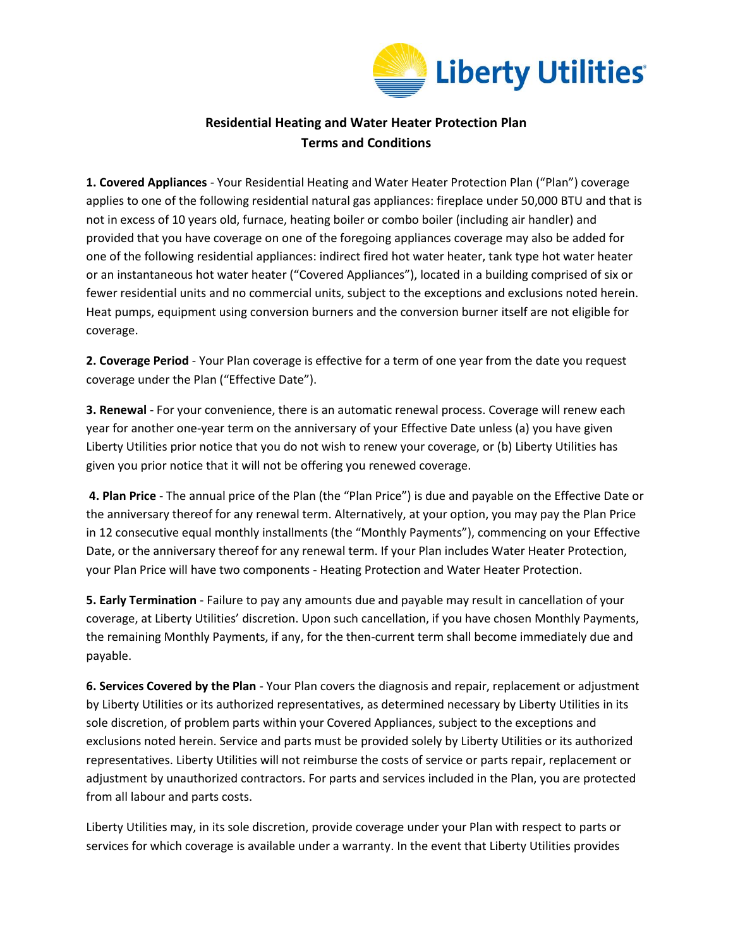

## **Residential Heating and Water Heater Protection Plan Terms and Conditions**

**1. Covered Appliances** - Your Residential Heating and Water Heater Protection Plan ("Plan") coverage applies to one of the following residential natural gas appliances: fireplace under 50,000 BTU and that is not in excess of 10 years old, furnace, heating boiler or combo boiler (including air handler) and provided that you have coverage on one of the foregoing appliances coverage may also be added for one of the following residential appliances: indirect fired hot water heater, tank type hot water heater or an instantaneous hot water heater ("Covered Appliances"), located in a building comprised of six or fewer residential units and no commercial units, subject to the exceptions and exclusions noted herein. Heat pumps, equipment using conversion burners and the conversion burner itself are not eligible for coverage.

**2. Coverage Period** - Your Plan coverage is effective for a term of one year from the date you request coverage under the Plan ("Effective Date").

**3. Renewal** - For your convenience, there is an automatic renewal process. Coverage will renew each year for another one-year term on the anniversary of your Effective Date unless (a) you have given Liberty Utilities prior notice that you do not wish to renew your coverage, or (b) Liberty Utilities has given you prior notice that it will not be offering you renewed coverage.

**4. Plan Price** - The annual price of the Plan (the "Plan Price") is due and payable on the Effective Date or the anniversary thereof for any renewal term. Alternatively, at your option, you may pay the Plan Price in 12 consecutive equal monthly installments (the "Monthly Payments"), commencing on your Effective Date, or the anniversary thereof for any renewal term. If your Plan includes Water Heater Protection, your Plan Price will have two components - Heating Protection and Water Heater Protection.

**5. Early Termination** - Failure to pay any amounts due and payable may result in cancellation of your coverage, at Liberty Utilities' discretion. Upon such cancellation, if you have chosen Monthly Payments, the remaining Monthly Payments, if any, for the then-current term shall become immediately due and payable.

**6. Services Covered by the Plan** - Your Plan covers the diagnosis and repair, replacement or adjustment by Liberty Utilities or its authorized representatives, as determined necessary by Liberty Utilities in its sole discretion, of problem parts within your Covered Appliances, subject to the exceptions and exclusions noted herein. Service and parts must be provided solely by Liberty Utilities or its authorized representatives. Liberty Utilities will not reimburse the costs of service or parts repair, replacement or adjustment by unauthorized contractors. For parts and services included in the Plan, you are protected from all labour and parts costs.

Liberty Utilities may, in its sole discretion, provide coverage under your Plan with respect to parts or services for which coverage is available under a warranty. In the event that Liberty Utilities provides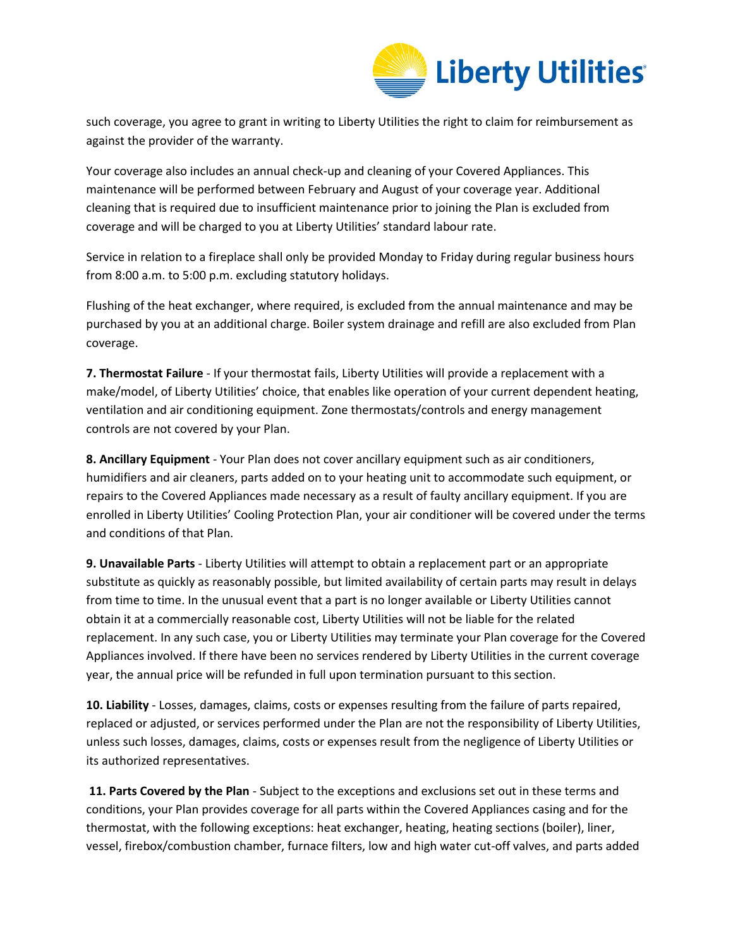

such coverage, you agree to grant in writing to Liberty Utilities the right to claim for reimbursement as against the provider of the warranty.

Your coverage also includes an annual check-up and cleaning of your Covered Appliances. This maintenance will be performed between February and August of your coverage year. Additional cleaning that is required due to insufficient maintenance prior to joining the Plan is excluded from coverage and will be charged to you at Liberty Utilities' standard labour rate.

Service in relation to a fireplace shall only be provided Monday to Friday during regular business hours from 8:00 a.m. to 5:00 p.m. excluding statutory holidays.

Flushing of the heat exchanger, where required, is excluded from the annual maintenance and may be purchased by you at an additional charge. Boiler system drainage and refill are also excluded from Plan coverage.

**7. Thermostat Failure** - If your thermostat fails, Liberty Utilities will provide a replacement with a make/model, of Liberty Utilities' choice, that enables like operation of your current dependent heating, ventilation and air conditioning equipment. Zone thermostats/controls and energy management controls are not covered by your Plan.

**8. Ancillary Equipment** - Your Plan does not cover ancillary equipment such as air conditioners, humidifiers and air cleaners, parts added on to your heating unit to accommodate such equipment, or repairs to the Covered Appliances made necessary as a result of faulty ancillary equipment. If you are enrolled in Liberty Utilities' Cooling Protection Plan, your air conditioner will be covered under the terms and conditions of that Plan.

**9. Unavailable Parts** - Liberty Utilities will attempt to obtain a replacement part or an appropriate substitute as quickly as reasonably possible, but limited availability of certain parts may result in delays from time to time. In the unusual event that a part is no longer available or Liberty Utilities cannot obtain it at a commercially reasonable cost, Liberty Utilities will not be liable for the related replacement. In any such case, you or Liberty Utilities may terminate your Plan coverage for the Covered Appliances involved. If there have been no services rendered by Liberty Utilities in the current coverage year, the annual price will be refunded in full upon termination pursuant to this section.

**10. Liability** - Losses, damages, claims, costs or expenses resulting from the failure of parts repaired, replaced or adjusted, or services performed under the Plan are not the responsibility of Liberty Utilities, unless such losses, damages, claims, costs or expenses result from the negligence of Liberty Utilities or its authorized representatives.

**11. Parts Covered by the Plan** - Subject to the exceptions and exclusions set out in these terms and conditions, your Plan provides coverage for all parts within the Covered Appliances casing and for the thermostat, with the following exceptions: heat exchanger, heating, heating sections (boiler), liner, vessel, firebox/combustion chamber, furnace filters, low and high water cut-off valves, and parts added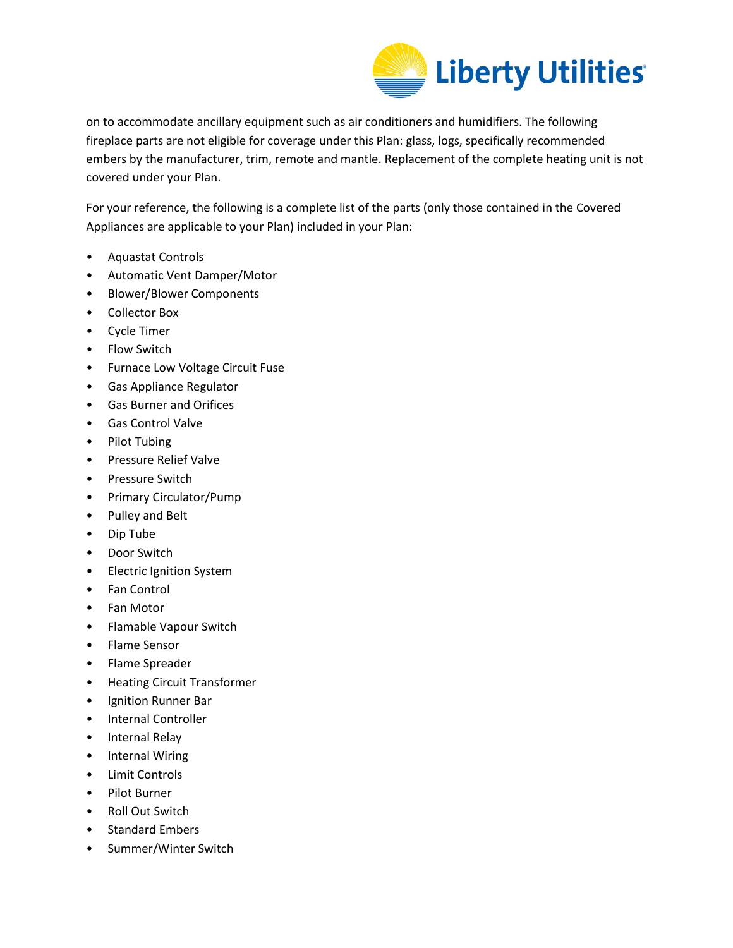

on to accommodate ancillary equipment such as air conditioners and humidifiers. The following fireplace parts are not eligible for coverage under this Plan: glass, logs, specifically recommended embers by the manufacturer, trim, remote and mantle. Replacement of the complete heating unit is not covered under your Plan.

For your reference, the following is a complete list of the parts (only those contained in the Covered Appliances are applicable to your Plan) included in your Plan:

- Aquastat Controls
- Automatic Vent Damper/Motor
- Blower/Blower Components
- Collector Box
- Cycle Timer
- Flow Switch
- Furnace Low Voltage Circuit Fuse
- Gas Appliance Regulator
- Gas Burner and Orifices
- Gas Control Valve
- Pilot Tubing
- Pressure Relief Valve
- Pressure Switch
- Primary Circulator/Pump
- Pulley and Belt
- Dip Tube
- Door Switch
- Electric Ignition System
- Fan Control
- Fan Motor
- Flamable Vapour Switch
- Flame Sensor
- Flame Spreader
- Heating Circuit Transformer
- Ignition Runner Bar
- Internal Controller
- Internal Relay
- Internal Wiring
- Limit Controls
- Pilot Burner
- Roll Out Switch
- Standard Embers
- Summer/Winter Switch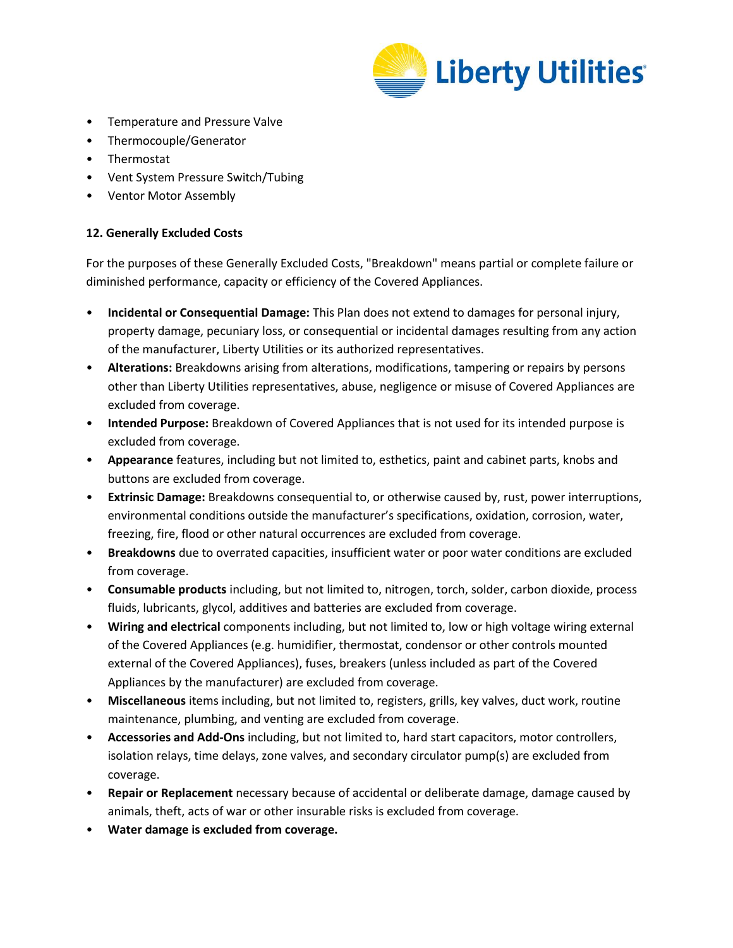

- Temperature and Pressure Valve
- Thermocouple/Generator
- Thermostat
- Vent System Pressure Switch/Tubing
- Ventor Motor Assembly

## **12. Generally Excluded Costs**

For the purposes of these Generally Excluded Costs, "Breakdown" means partial or complete failure or diminished performance, capacity or efficiency of the Covered Appliances.

- **Incidental or Consequential Damage:** This Plan does not extend to damages for personal injury, property damage, pecuniary loss, or consequential or incidental damages resulting from any action of the manufacturer, Liberty Utilities or its authorized representatives.
- **Alterations:** Breakdowns arising from alterations, modifications, tampering or repairs by persons other than Liberty Utilities representatives, abuse, negligence or misuse of Covered Appliances are excluded from coverage.
- **Intended Purpose:** Breakdown of Covered Appliances that is not used for its intended purpose is excluded from coverage.
- **Appearance** features, including but not limited to, esthetics, paint and cabinet parts, knobs and buttons are excluded from coverage.
- **Extrinsic Damage:** Breakdowns consequential to, or otherwise caused by, rust, power interruptions, environmental conditions outside the manufacturer's specifications, oxidation, corrosion, water, freezing, fire, flood or other natural occurrences are excluded from coverage.
- **Breakdowns** due to overrated capacities, insufficient water or poor water conditions are excluded from coverage.
- **Consumable products** including, but not limited to, nitrogen, torch, solder, carbon dioxide, process fluids, lubricants, glycol, additives and batteries are excluded from coverage.
- **Wiring and electrical** components including, but not limited to, low or high voltage wiring external of the Covered Appliances (e.g. humidifier, thermostat, condensor or other controls mounted external of the Covered Appliances), fuses, breakers (unless included as part of the Covered Appliances by the manufacturer) are excluded from coverage.
- **Miscellaneous** items including, but not limited to, registers, grills, key valves, duct work, routine maintenance, plumbing, and venting are excluded from coverage.
- **Accessories and Add-Ons** including, but not limited to, hard start capacitors, motor controllers, isolation relays, time delays, zone valves, and secondary circulator pump(s) are excluded from coverage.
- **Repair or Replacement** necessary because of accidental or deliberate damage, damage caused by animals, theft, acts of war or other insurable risks is excluded from coverage.
- **Water damage is excluded from coverage.**